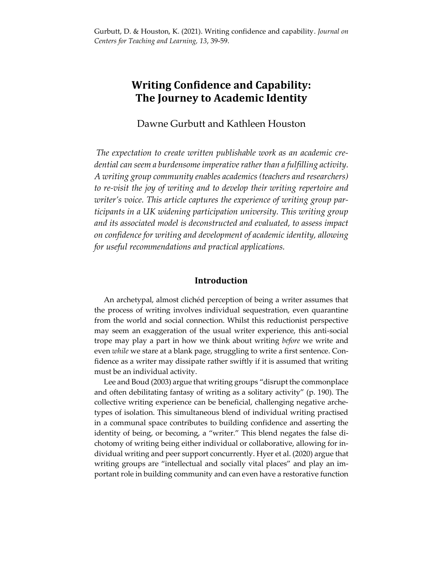# **Writing Confidence and Capability: The Journey to Academic Identity**

Dawne Gurbutt and Kathleen Houston

*The expectation to create written publishable work as an academic credential can seem a burdensome imperative rather than a fulfilling activity. A writing group community enables academics (teachers and researchers) to re-visit the joy of writing and to develop their writing repertoire and writer's voice. This article captures the experience of writing group participants in a UK widening participation university. This writing group and its associated model is deconstructed and evaluated, to assess impact on confidence for writing and development of academic identity, allowing for useful recommendations and practical applications.*

## **Introduction**

 An archetypal, almost clichéd perception of being a writer assumes that the process of writing involves individual sequestration, even quarantine from the world and social connection. Whilst this reductionist perspective may seem an exaggeration of the usual writer experience, this anti-social trope may play a part in how we think about writing *before* we write and even *while* we stare at a blank page, struggling to write a first sentence. Confidence as a writer may dissipate rather swiftly if it is assumed that writing must be an individual activity.

 Lee and Boud (2003) argue that writing groups "disrupt the commonplace and often debilitating fantasy of writing as a solitary activity" (p. 190). The collective writing experience can be beneficial, challenging negative archetypes of isolation. This simultaneous blend of individual writing practised in a communal space contributes to building confidence and asserting the identity of being, or becoming, a "writer." This blend negates the false dichotomy of writing being either individual or collaborative, allowing for individual writing and peer support concurrently. Hyer et al. (2020) argue that writing groups are "intellectual and socially vital places" and play an important role in building community and can even have a restorative function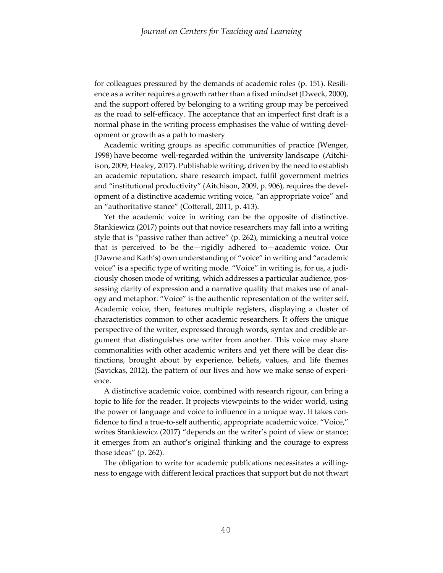for colleagues pressured by the demands of academic roles (p. 151). Resilience as a writer requires a growth rather than a fixed mindset (Dweck, 2000), and the support offered by belonging to a writing group may be perceived as the road to self-efficacy. The acceptance that an imperfect first draft is a normal phase in the writing process emphasises the value of writing development or growth as a path to mastery

 Academic writing groups as specific communities of practice (Wenger, 1998) have become well-regarded within the university landscape (Aitchiison, 2009; Healey, 2017). Publishable writing, driven by the need to establish an academic reputation, share research impact, fulfil government metrics and "institutional productivity" (Aitchison, 2009, p. 906), requires the development of a distinctive academic writing voice, "an appropriate voice" and an "authoritative stance" (Cotterall, 2011, p. 413).

 Yet the academic voice in writing can be the opposite of distinctive. Stankiewicz (2017) points out that novice researchers may fall into a writing style that is "passive rather than active" (p. 262), mimicking a neutral voice that is perceived to be the—rigidly adhered to—academic voice. Our (Dawne and Kath's) own understanding of "voice" in writing and "academic voice" is a specific type of writing mode. "Voice" in writing is, for us, a judiciously chosen mode of writing, which addresses a particular audience, possessing clarity of expression and a narrative quality that makes use of analogy and metaphor: "Voice" is the authentic representation of the writer self. Academic voice, then, features multiple registers, displaying a cluster of characteristics common to other academic researchers. It offers the unique perspective of the writer, expressed through words, syntax and credible argument that distinguishes one writer from another. This voice may share commonalities with other academic writers and yet there will be clear distinctions, brought about by experience, beliefs, values, and life themes (Savickas, 2012), the pattern of our lives and how we make sense of experience.

 A distinctive academic voice, combined with research rigour, can bring a topic to life for the reader. It projects viewpoints to the wider world, using the power of language and voice to influence in a unique way. It takes confidence to find a true-to-self authentic, appropriate academic voice. "Voice," writes Stankiewicz (2017) "depends on the writer's point of view or stance; it emerges from an author's original thinking and the courage to express those ideas" (p. 262).

 The obligation to write for academic publications necessitates a willingness to engage with different lexical practices that support but do not thwart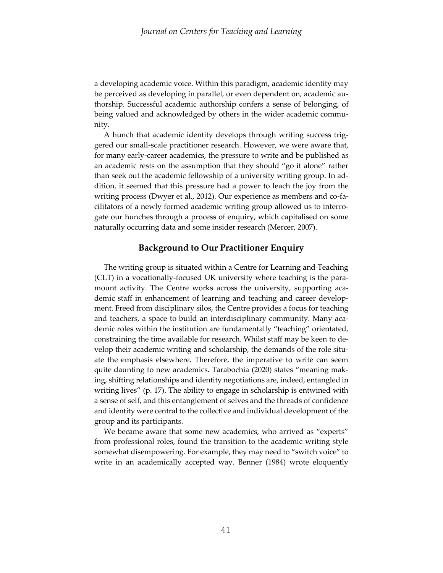a developing academic voice. Within this paradigm, academic identity may be perceived as developing in parallel, or even dependent on, academic authorship. Successful academic authorship confers a sense of belonging, of being valued and acknowledged by others in the wider academic community.

 A hunch that academic identity develops through writing success triggered our small-scale practitioner research. However, we were aware that, for many early-career academics, the pressure to write and be published as an academic rests on the assumption that they should "go it alone" rather than seek out the academic fellowship of a university writing group. In addition, it seemed that this pressure had a power to leach the joy from the writing process (Dwyer et al., 2012). Our experience as members and co-facilitators of a newly formed academic writing group allowed us to interrogate our hunches through a process of enquiry, which capitalised on some naturally occurring data and some insider research (Mercer, 2007).

### **Background to Our Practitioner Enquiry**

 The writing group is situated within a Centre for Learning and Teaching (CLT) in a vocationally-focused UK university where teaching is the paramount activity. The Centre works across the university, supporting academic staff in enhancement of learning and teaching and career development. Freed from disciplinary silos, the Centre provides a focus for teaching and teachers, a space to build an interdisciplinary community. Many academic roles within the institution are fundamentally "teaching" orientated, constraining the time available for research. Whilst staff may be keen to develop their academic writing and scholarship, the demands of the role situate the emphasis elsewhere. Therefore, the imperative to write can seem quite daunting to new academics. Tarabochia (2020) states "meaning making, shifting relationships and identity negotiations are, indeed, entangled in writing lives" (p. 17). The ability to engage in scholarship is entwined with a sense of self, and this entanglement of selves and the threads of confidence and identity were central to the collective and individual development of the group and its participants.

 We became aware that some new academics, who arrived as "experts" from professional roles, found the transition to the academic writing style somewhat disempowering. For example, they may need to "switch voice" to write in an academically accepted way. Benner (1984) wrote eloquently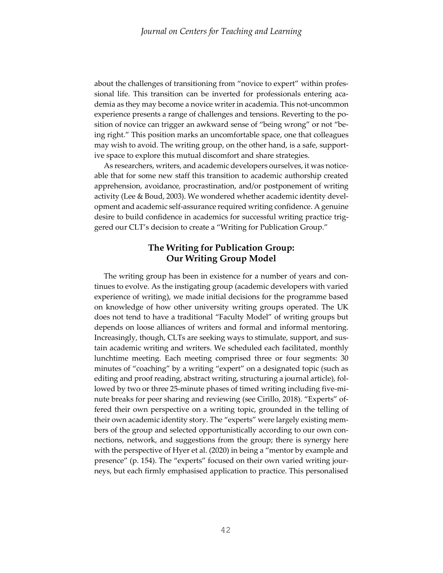about the challenges of transitioning from "novice to expert" within professional life. This transition can be inverted for professionals entering academia as they may become a novice writer in academia. This not-uncommon experience presents a range of challenges and tensions. Reverting to the position of novice can trigger an awkward sense of "being wrong" or not "being right." This position marks an uncomfortable space, one that colleagues may wish to avoid. The writing group, on the other hand, is a safe, supportive space to explore this mutual discomfort and share strategies.

 As researchers, writers, and academic developers ourselves, it was noticeable that for some new staff this transition to academic authorship created apprehension, avoidance, procrastination, and/or postponement of writing activity (Lee & Boud, 2003). We wondered whether academic identity development and academic self-assurance required writing confidence. A genuine desire to build confidence in academics for successful writing practice triggered our CLT's decision to create a "Writing for Publication Group."

# **The Writing for Publication Group: Our Writing Group Model**

 The writing group has been in existence for a number of years and continues to evolve. As the instigating group (academic developers with varied experience of writing), we made initial decisions for the programme based on knowledge of how other university writing groups operated. The UK does not tend to have a traditional "Faculty Model" of writing groups but depends on loose alliances of writers and formal and informal mentoring. Increasingly, though, CLTs are seeking ways to stimulate, support, and sustain academic writing and writers. We scheduled each facilitated, monthly lunchtime meeting. Each meeting comprised three or four segments: 30 minutes of "coaching" by a writing "expert" on a designated topic (such as editing and proof reading, abstract writing, structuring a journal article), followed by two or three 25-minute phases of timed writing including five-minute breaks for peer sharing and reviewing (see Cirillo, 2018). "Experts" offered their own perspective on a writing topic, grounded in the telling of their own academic identity story. The "experts" were largely existing members of the group and selected opportunistically according to our own connections, network, and suggestions from the group; there is synergy here with the perspective of Hyer et al. (2020) in being a "mentor by example and presence" (p. 154). The "experts" focused on their own varied writing journeys, but each firmly emphasised application to practice. This personalised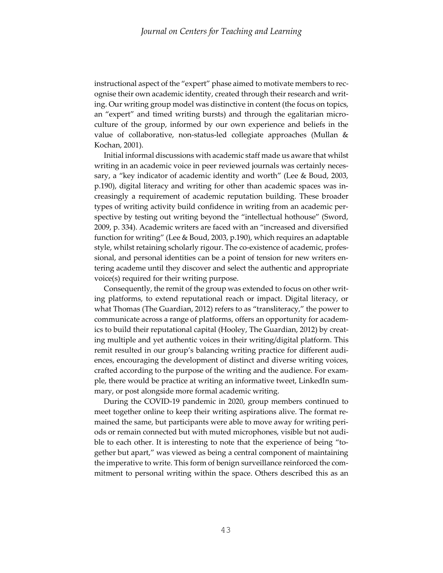instructional aspect of the "expert" phase aimed to motivate members to recognise their own academic identity, created through their research and writing. Our writing group model was distinctive in content (the focus on topics, an "expert" and timed writing bursts) and through the egalitarian microculture of the group, informed by our own experience and beliefs in the value of collaborative, non-status-led collegiate approaches (Mullan & Kochan, 2001).

 Initial informal discussions with academic staff made us aware that whilst writing in an academic voice in peer reviewed journals was certainly necessary, a "key indicator of academic identity and worth" (Lee & Boud, 2003, p.190), digital literacy and writing for other than academic spaces was increasingly a requirement of academic reputation building. These broader types of writing activity build confidence in writing from an academic perspective by testing out writing beyond the "intellectual hothouse" (Sword, 2009, p. 334). Academic writers are faced with an "increased and diversified function for writing" (Lee & Boud, 2003, p.190), which requires an adaptable style, whilst retaining scholarly rigour. The co-existence of academic, professional, and personal identities can be a point of tension for new writers entering academe until they discover and select the authentic and appropriate voice(s) required for their writing purpose.

 Consequently, the remit of the group was extended to focus on other writing platforms, to extend reputational reach or impact. Digital literacy, or what Thomas (The Guardian, 2012) refers to as "transliteracy," the power to communicate across a range of platforms, offers an opportunity for academics to build their reputational capital (Hooley, The Guardian, 2012) by creating multiple and yet authentic voices in their writing/digital platform. This remit resulted in our group's balancing writing practice for different audiences, encouraging the development of distinct and diverse writing voices, crafted according to the purpose of the writing and the audience. For example, there would be practice at writing an informative tweet, LinkedIn summary, or post alongside more formal academic writing.

 During the COVID-19 pandemic in 2020, group members continued to meet together online to keep their writing aspirations alive. The format remained the same, but participants were able to move away for writing periods or remain connected but with muted microphones, visible but not audible to each other. It is interesting to note that the experience of being "together but apart," was viewed as being a central component of maintaining the imperative to write. This form of benign surveillance reinforced the commitment to personal writing within the space. Others described this as an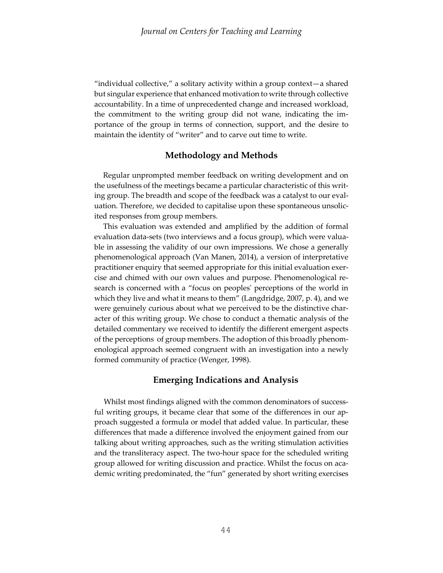"individual collective," a solitary activity within a group context—a shared but singular experience that enhanced motivation to write through collective accountability. In a time of unprecedented change and increased workload, the commitment to the writing group did not wane, indicating the importance of the group in terms of connection, support, and the desire to maintain the identity of "writer" and to carve out time to write.

### **Methodology and Methods**

Regular unprompted member feedback on writing development and on the usefulness of the meetings became a particular characteristic of this writing group. The breadth and scope of the feedback was a catalyst to our evaluation. Therefore, we decided to capitalise upon these spontaneous unsolicited responses from group members.

This evaluation was extended and amplified by the addition of formal evaluation data-sets (two interviews and a focus group), which were valuable in assessing the validity of our own impressions. We chose a generally phenomenological approach (Van Manen, 2014), a version of interpretative practitioner enquiry that seemed appropriate for this initial evaluation exercise and chimed with our own values and purpose. Phenomenological research is concerned with a "focus on peoples' perceptions of the world in which they live and what it means to them" (Langdridge, 2007, p. 4), and we were genuinely curious about what we perceived to be the distinctive character of this writing group. We chose to conduct a thematic analysis of the detailed commentary we received to identify the different emergent aspects of the perceptions of group members. The adoption of this broadly phenomenological approach seemed congruent with an investigation into a newly formed community of practice (Wenger, 1998).

#### **Emerging Indications and Analysis**

 Whilst most findings aligned with the common denominators of successful writing groups, it became clear that some of the differences in our approach suggested a formula or model that added value. In particular, these differences that made a difference involved the enjoyment gained from our talking about writing approaches, such as the writing stimulation activities and the transliteracy aspect. The two-hour space for the scheduled writing group allowed for writing discussion and practice. Whilst the focus on academic writing predominated, the "fun" generated by short writing exercises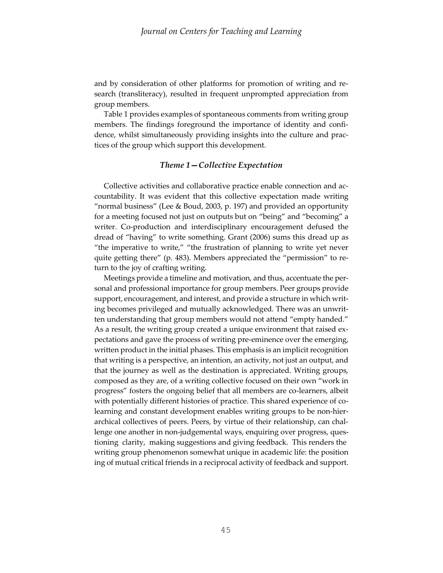and by consideration of other platforms for promotion of writing and research (transliteracy), resulted in frequent unprompted appreciation from group members.

 Table 1 provides examples of spontaneous comments from writing group members. The findings foreground the importance of identity and confidence, whilst simultaneously providing insights into the culture and practices of the group which support this development.

#### *Theme 1—Collective Expectation*

 Collective activities and collaborative practice enable connection and accountability. It was evident that this collective expectation made writing "normal business" (Lee & Boud, 2003, p. 197) and provided an opportunity for a meeting focused not just on outputs but on "being" and "becoming" a writer. Co-production and interdisciplinary encouragement defused the dread of "having" to write something. Grant (2006) sums this dread up as "the imperative to write," "the frustration of planning to write yet never quite getting there" (p. 483). Members appreciated the "permission" to return to the joy of crafting writing.

 Meetings provide a timeline and motivation, and thus, accentuate the personal and professional importance for group members. Peer groups provide support, encouragement, and interest, and provide a structure in which writing becomes privileged and mutually acknowledged. There was an unwritten understanding that group members would not attend "empty handed." As a result, the writing group created a unique environment that raised expectations and gave the process of writing pre-eminence over the emerging, written product in the initial phases. This emphasis is an implicit recognition that writing is a perspective, an intention, an activity, not just an output, and that the journey as well as the destination is appreciated. Writing groups, composed as they are, of a writing collective focused on their own "work in progress" fosters the ongoing belief that all members are co-learners, albeit with potentially different histories of practice. This shared experience of colearning and constant development enables writing groups to be non-hierarchical collectives of peers. Peers, by virtue of their relationship, can challenge one another in non-judgemental ways, enquiring over progress, questioning clarity, making suggestions and giving feedback. This renders the writing group phenomenon somewhat unique in academic life: the position ing of mutual critical friends in a reciprocal activity of feedback and support.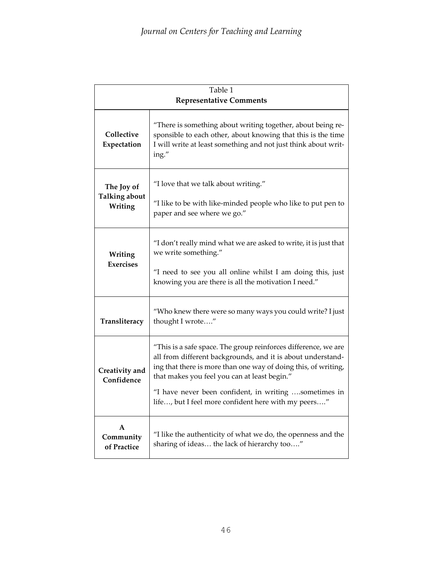| Table 1                                       |                                                                                                                                                                                                                                                                                                                                                                 |  |  |  |
|-----------------------------------------------|-----------------------------------------------------------------------------------------------------------------------------------------------------------------------------------------------------------------------------------------------------------------------------------------------------------------------------------------------------------------|--|--|--|
| <b>Representative Comments</b>                |                                                                                                                                                                                                                                                                                                                                                                 |  |  |  |
| Collective<br>Expectation                     | "There is something about writing together, about being re-<br>sponsible to each other, about knowing that this is the time<br>I will write at least something and not just think about writ-<br>ing."                                                                                                                                                          |  |  |  |
| The Joy of<br><b>Talking about</b><br>Writing | "I love that we talk about writing."<br>"I like to be with like-minded people who like to put pen to<br>paper and see where we go."                                                                                                                                                                                                                             |  |  |  |
| Writing<br><b>Exercises</b>                   | "I don't really mind what we are asked to write, it is just that<br>we write something."<br>"I need to see you all online whilst I am doing this, just<br>knowing you are there is all the motivation I need."                                                                                                                                                  |  |  |  |
| Transliteracy                                 | "Who knew there were so many ways you could write? I just<br>thought I wrote"                                                                                                                                                                                                                                                                                   |  |  |  |
| Creativity and<br>Confidence                  | "This is a safe space. The group reinforces difference, we are<br>all from different backgrounds, and it is about understand-<br>ing that there is more than one way of doing this, of writing,<br>that makes you feel you can at least begin."<br>"I have never been confident, in writing sometimes in<br>life, but I feel more confident here with my peers" |  |  |  |
| A<br>Community<br>of Practice                 | "I like the authenticity of what we do, the openness and the<br>sharing of ideas the lack of hierarchy too"                                                                                                                                                                                                                                                     |  |  |  |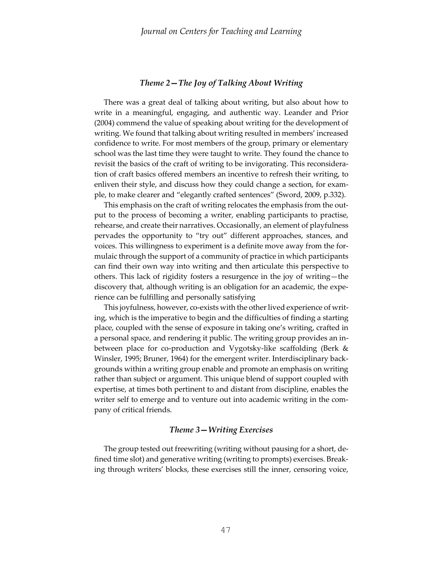#### *Theme 2—The Joy of Talking About Writing*

 There was a great deal of talking about writing, but also about how to write in a meaningful, engaging, and authentic way. Leander and Prior (2004) commend the value of speaking about writing for the development of writing. We found that talking about writing resulted in members' increased confidence to write. For most members of the group, primary or elementary school was the last time they were taught to write. They found the chance to revisit the basics of the craft of writing to be invigorating. This reconsideration of craft basics offered members an incentive to refresh their writing, to enliven their style, and discuss how they could change a section, for example, to make clearer and "elegantly crafted sentences" (Sword, 2009, p.332).

 This emphasis on the craft of writing relocates the emphasis from the output to the process of becoming a writer, enabling participants to practise, rehearse, and create their narratives. Occasionally, an element of playfulness pervades the opportunity to "try out" different approaches, stances, and voices. This willingness to experiment is a definite move away from the formulaic through the support of a community of practice in which participants can find their own way into writing and then articulate this perspective to others. This lack of rigidity fosters a resurgence in the joy of writing—the discovery that, although writing is an obligation for an academic, the experience can be fulfilling and personally satisfying

 This joyfulness, however, co-exists with the other lived experience of writing, which is the imperative to begin and the difficulties of finding a starting place, coupled with the sense of exposure in taking one's writing, crafted in a personal space, and rendering it public. The writing group provides an inbetween place for co-production and Vygotsky-like scaffolding (Berk & Winsler, 1995; Bruner, 1964) for the emergent writer. Interdisciplinary backgrounds within a writing group enable and promote an emphasis on writing rather than subject or argument. This unique blend of support coupled with expertise, at times both pertinent to and distant from discipline, enables the writer self to emerge and to venture out into academic writing in the company of critical friends.

#### *Theme 3—Writing Exercises*

 The group tested out freewriting (writing without pausing for a short, defined time slot) and generative writing (writing to prompts) exercises. Breaking through writers' blocks, these exercises still the inner, censoring voice,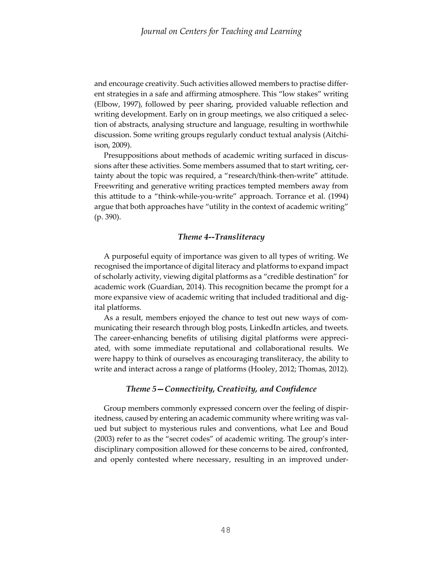and encourage creativity. Such activities allowed members to practise different strategies in a safe and affirming atmosphere. This "low stakes" writing (Elbow, 1997), followed by peer sharing, provided valuable reflection and writing development. Early on in group meetings, we also critiqued a selection of abstracts, analysing structure and language, resulting in worthwhile discussion. Some writing groups regularly conduct textual analysis (Aitchiison, 2009).

 Presuppositions about methods of academic writing surfaced in discussions after these activities. Some members assumed that to start writing, certainty about the topic was required, a "research/think-then-write" attitude. Freewriting and generative writing practices tempted members away from this attitude to a "think-while-you-write" approach. Torrance et al. (1994) argue that both approaches have "utility in the context of academic writing" (p. 390).

#### *Theme 4--Transliteracy*

 A purposeful equity of importance was given to all types of writing. We recognised the importance of digital literacy and platforms to expand impact of scholarly activity, viewing digital platforms as a "credible destination" for academic work (Guardian, 2014). This recognition became the prompt for a more expansive view of academic writing that included traditional and digital platforms.

 As a result, members enjoyed the chance to test out new ways of communicating their research through blog posts, LinkedIn articles, and tweets. The career-enhancing benefits of utilising digital platforms were appreciated, with some immediate reputational and collaborational results. We were happy to think of ourselves as encouraging transliteracy, the ability to write and interact across a range of platforms (Hooley, 2012; Thomas, 2012).

#### *Theme 5—Connectivity, Creativity, and Confidence*

 Group members commonly expressed concern over the feeling of dispiritedness, caused by entering an academic community where writing was valued but subject to mysterious rules and conventions, what Lee and Boud (2003) refer to as the "secret codes" of academic writing. The group's interdisciplinary composition allowed for these concerns to be aired, confronted, and openly contested where necessary, resulting in an improved under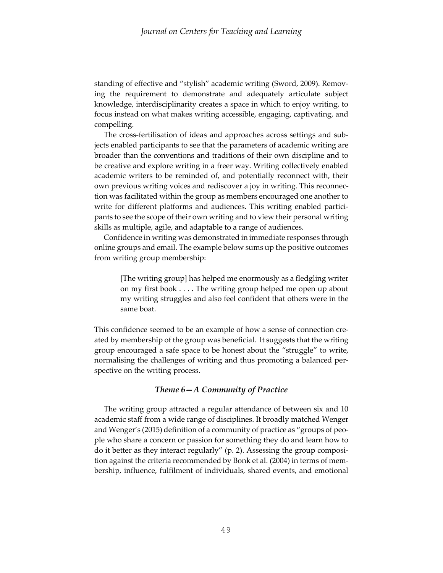standing of effective and "stylish" academic writing (Sword, 2009). Removing the requirement to demonstrate and adequately articulate subject knowledge, interdisciplinarity creates a space in which to enjoy writing, to focus instead on what makes writing accessible, engaging, captivating, and compelling.

 The cross-fertilisation of ideas and approaches across settings and subjects enabled participants to see that the parameters of academic writing are broader than the conventions and traditions of their own discipline and to be creative and explore writing in a freer way. Writing collectively enabled academic writers to be reminded of, and potentially reconnect with, their own previous writing voices and rediscover a joy in writing. This reconnection was facilitated within the group as members encouraged one another to write for different platforms and audiences. This writing enabled participants to see the scope of their own writing and to view their personal writing skills as multiple, agile, and adaptable to a range of audiences.

 Confidence in writing was demonstrated in immediate responses through online groups and email. The example below sums up the positive outcomes from writing group membership:

[The writing group] has helped me enormously as a fledgling writer on my first book . . . . The writing group helped me open up about my writing struggles and also feel confident that others were in the same boat.

This confidence seemed to be an example of how a sense of connection created by membership of the group was beneficial. It suggests that the writing group encouraged a safe space to be honest about the "struggle" to write, normalising the challenges of writing and thus promoting a balanced perspective on the writing process.

#### *Theme 6—A Community of Practice*

 The writing group attracted a regular attendance of between six and 10 academic staff from a wide range of disciplines. It broadly matched Wenger and Wenger's (2015) definition of a community of practice as "groups of people who share a concern or passion for something they do and learn how to do it better as they interact regularly" (p. 2). Assessing the group composition against the criteria recommended by Bonk et al. (2004) in terms of membership, influence, fulfilment of individuals, shared events, and emotional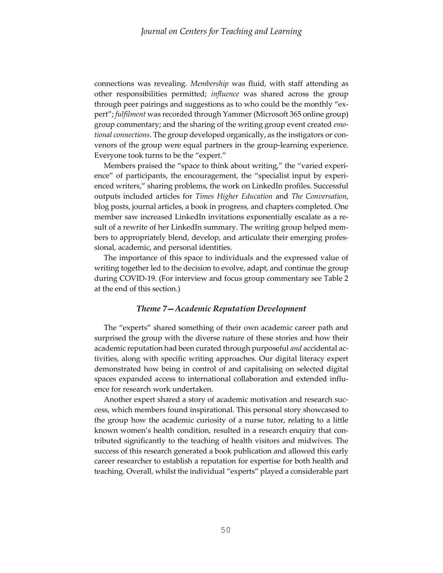connections was revealing. *Membership* was fluid, with staff attending as other responsibilities permitted; *influence* was shared across the group through peer pairings and suggestions as to who could be the monthly "expert"; *fulfilment* was recorded through Yammer (Microsoft 365 online group) group commentary; and the sharing of the writing group event created *emotional connections*. The group developed organically, as the instigators or convenors of the group were equal partners in the group-learning experience. Everyone took turns to be the "expert."

 Members praised the "space to think about writing," the "varied experience" of participants, the encouragement, the "specialist input by experienced writers," sharing problems, the work on LinkedIn profiles. Successful outputs included articles for *Times Higher Education* and *The Conversation*, blog posts, journal articles, a book in progress, and chapters completed. One member saw increased LinkedIn invitations exponentially escalate as a result of a rewrite of her LinkedIn summary. The writing group helped members to appropriately blend, develop, and articulate their emerging professional, academic, and personal identities.

 The importance of this space to individuals and the expressed value of writing together led to the decision to evolve, adapt, and continue the group during COVID-19. (For interview and focus group commentary see Table 2 at the end of this section.)

#### *Theme 7—Academic Reputation Development*

 The "experts" shared something of their own academic career path and surprised the group with the diverse nature of these stories and how their academic reputation had been curated through purposeful *and* accidental activities, along with specific writing approaches. Our digital literacy expert demonstrated how being in control of and capitalising on selected digital spaces expanded access to international collaboration and extended influence for research work undertaken.

 Another expert shared a story of academic motivation and research success, which members found inspirational. This personal story showcased to the group how the academic curiosity of a nurse tutor, relating to a little known women's health condition, resulted in a research enquiry that contributed significantly to the teaching of health visitors and midwives. The success of this research generated a book publication and allowed this early career researcher to establish a reputation for expertise for both health and teaching. Overall, whilst the individual "experts" played a considerable part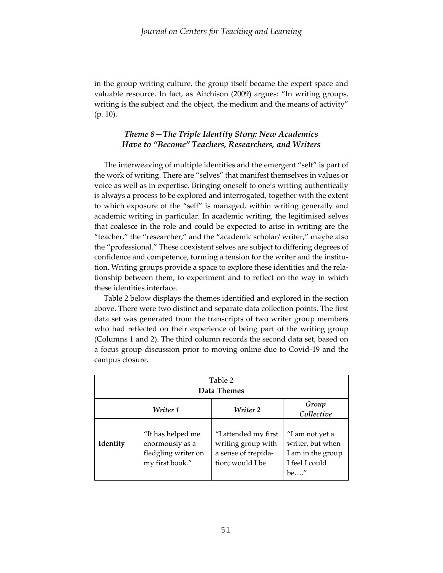in the group writing culture, the group itself became the expert space and valuable resource. In fact, as Aitchison (2009) argues: "In writing groups, writing is the subject and the object, the medium and the means of activity" (p. 10).

## *Theme 8—The Triple Identity Story: New Academics Have to "Become" Teachers, Researchers, and Writers*

 The interweaving of multiple identities and the emergent "self" is part of the work of writing. There are "selves" that manifest themselves in values or voice as well as in expertise. Bringing oneself to one's writing authentically is always a process to be explored and interrogated, together with the extent to which exposure of the "self" is managed, within writing generally and academic writing in particular. In academic writing, the legitimised selves that coalesce in the role and could be expected to arise in writing are the "teacher," the "researcher," and the "academic scholar/ writer," maybe also the "professional." These coexistent selves are subject to differing degrees of confidence and competence, forming a tension for the writer and the institution. Writing groups provide a space to explore these identities and the relationship between them, to experiment and to reflect on the way in which these identities interface.

 Table 2 below displays the themes identified and explored in the section above. There were two distinct and separate data collection points. The first data set was generated from the transcripts of two writer group members who had reflected on their experience of being part of the writing group (Columns 1 and 2). The third column records the second data set, based on a focus group discussion prior to moving online due to Covid-19 and the campus closure.

| Table 2<br>Data Themes |                                                                                |                                                                                       |                                                                                    |  |  |  |
|------------------------|--------------------------------------------------------------------------------|---------------------------------------------------------------------------------------|------------------------------------------------------------------------------------|--|--|--|
|                        | Writer 1                                                                       | Writer 2                                                                              | Group<br>Collective                                                                |  |  |  |
| Identity               | "It has helped me<br>enormously as a<br>fledgling writer on<br>my first book." | "I attended my first<br>writing group with<br>a sense of trepida-<br>tion; would I be | "I am not yet a<br>writer, but when<br>I am in the group<br>I feel I could<br>be'' |  |  |  |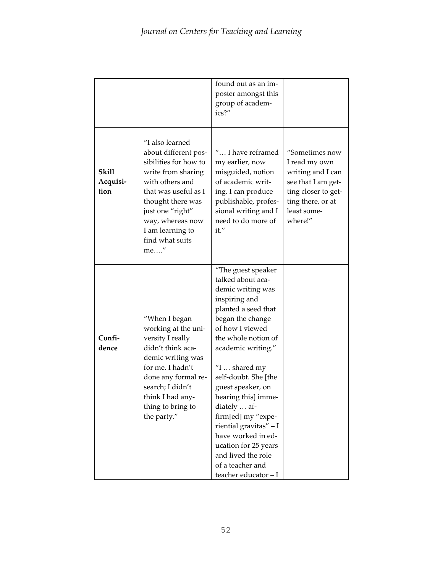|                           |                                                                                                                                                                                                                                              | found out as an im-<br>poster amongst this<br>group of academ-<br>ics?"                                                                                                                                                                                                                                                                                                                                                                                       |                                                                                                                                                  |
|---------------------------|----------------------------------------------------------------------------------------------------------------------------------------------------------------------------------------------------------------------------------------------|---------------------------------------------------------------------------------------------------------------------------------------------------------------------------------------------------------------------------------------------------------------------------------------------------------------------------------------------------------------------------------------------------------------------------------------------------------------|--------------------------------------------------------------------------------------------------------------------------------------------------|
| Skill<br>Acquisi-<br>tion | "I also learned<br>about different pos-<br>sibilities for how to<br>write from sharing<br>with others and<br>that was useful as I<br>thought there was<br>just one "right"<br>way, whereas now<br>I am learning to<br>find what suits<br>me" | " I have reframed<br>my earlier, now<br>misguided, notion<br>of academic writ-<br>ing. I can produce<br>publishable, profes-<br>sional writing and I<br>need to do more of<br>it."                                                                                                                                                                                                                                                                            | "Sometimes now<br>I read my own<br>writing and I can<br>see that I am get-<br>ting closer to get-<br>ting there, or at<br>least some-<br>where!" |
| Confi-<br>dence           | "When I began<br>working at the uni-<br>versity I really<br>didn't think aca-<br>demic writing was<br>for me. I hadn't<br>done any formal re-<br>search; I didn't<br>think I had any-<br>thing to bring to<br>the party."                    | "The guest speaker<br>talked about aca-<br>demic writing was<br>inspiring and<br>planted a seed that<br>began the change<br>of how I viewed<br>the whole notion of<br>academic writing."<br>"I  shared my<br>self-doubt. She [the<br>guest speaker, on<br>hearing this] imme-<br>diately  af-<br>firm[ed] my "expe-<br>riential gravitas" - I<br>have worked in ed-<br>ucation for 25 years<br>and lived the role<br>of a teacher and<br>teacher educator - I |                                                                                                                                                  |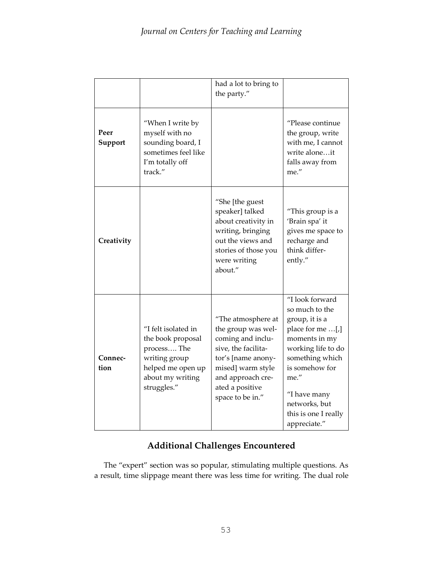|                 |                                                                                                                                  | had a lot to bring to<br>the party."                                                                                                                                                        |                                                                                                                                                                                                                                      |
|-----------------|----------------------------------------------------------------------------------------------------------------------------------|---------------------------------------------------------------------------------------------------------------------------------------------------------------------------------------------|--------------------------------------------------------------------------------------------------------------------------------------------------------------------------------------------------------------------------------------|
| Peer<br>Support | "When I write by<br>myself with no<br>sounding board, I<br>sometimes feel like<br>I'm totally off<br>track."                     |                                                                                                                                                                                             | "Please continue<br>the group, write<br>with me, I cannot<br>write aloneit<br>falls away from<br>me."                                                                                                                                |
| Creativity      |                                                                                                                                  | "She [the guest<br>speaker] talked<br>about creativity in<br>writing, bringing<br>out the views and<br>stories of those you<br>were writing<br>about."                                      | "This group is a<br>'Brain spa' it<br>gives me space to<br>recharge and<br>think differ-<br>ently."                                                                                                                                  |
| Connec-<br>tion | "I felt isolated in<br>the book proposal<br>process The<br>writing group<br>helped me open up<br>about my writing<br>struggles." | "The atmosphere at<br>the group was wel-<br>coming and inclu-<br>sive, the facilita-<br>tor's [name anony-<br>mised] warm style<br>and approach cre-<br>ated a positive<br>space to be in." | "I look forward<br>so much to the<br>group, it is a<br>place for me [,]<br>moments in my<br>working life to do<br>something which<br>is somehow for<br>me."<br>"I have many<br>networks, but<br>this is one I really<br>appreciate." |

# **Additional Challenges Encountered**

 The "expert" section was so popular, stimulating multiple questions. As a result, time slippage meant there was less time for writing. The dual role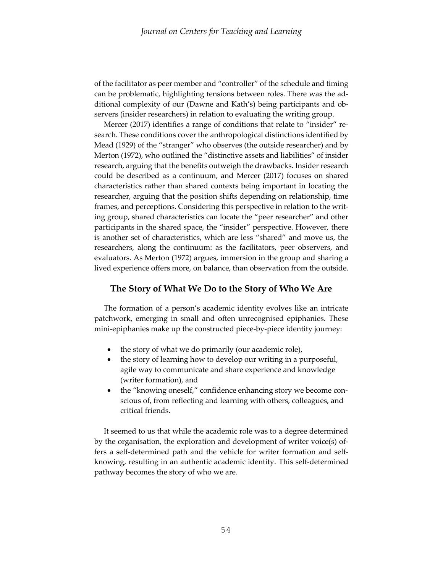of the facilitator as peer member and "controller" of the schedule and timing can be problematic, highlighting tensions between roles. There was the additional complexity of our (Dawne and Kath's) being participants and observers (insider researchers) in relation to evaluating the writing group.

 Mercer (2017) identifies a range of conditions that relate to "insider" research. These conditions cover the anthropological distinctions identified by Mead (1929) of the "stranger" who observes (the outside researcher) and by Merton (1972), who outlined the "distinctive assets and liabilities" of insider research, arguing that the benefits outweigh the drawbacks. Insider research could be described as a continuum, and Mercer (2017) focuses on shared characteristics rather than shared contexts being important in locating the researcher, arguing that the position shifts depending on relationship, time frames, and perceptions. Considering this perspective in relation to the writing group, shared characteristics can locate the "peer researcher" and other participants in the shared space, the "insider" perspective. However, there is another set of characteristics, which are less "shared" and move us, the researchers, along the continuum: as the facilitators, peer observers, and evaluators. As Merton (1972) argues, immersion in the group and sharing a lived experience offers more, on balance, than observation from the outside.

### **The Story of What We Do to the Story of Who We Are**

 The formation of a person's academic identity evolves like an intricate patchwork, emerging in small and often unrecognised epiphanies. These mini-epiphanies make up the constructed piece-by-piece identity journey:

- the story of what we do primarily (our academic role),
- the story of learning how to develop our writing in a purposeful, agile way to communicate and share experience and knowledge (writer formation), and
- the "knowing oneself," confidence enhancing story we become conscious of, from reflecting and learning with others, colleagues, and critical friends.

 It seemed to us that while the academic role was to a degree determined by the organisation, the exploration and development of writer voice(s) offers a self-determined path and the vehicle for writer formation and selfknowing, resulting in an authentic academic identity. This self-determined pathway becomes the story of who we are.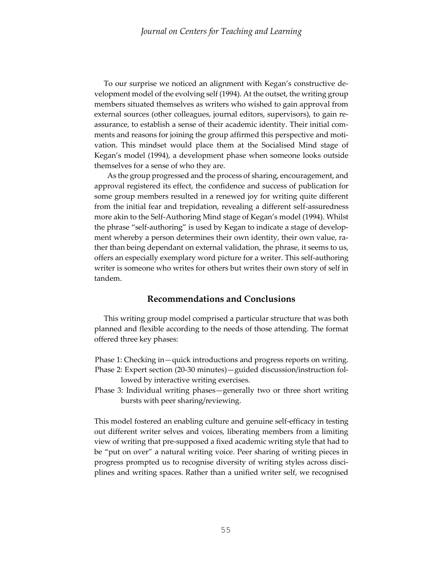To our surprise we noticed an alignment with Kegan's constructive development model of the evolving self (1994). At the outset, the writing group members situated themselves as writers who wished to gain approval from external sources (other colleagues, journal editors, supervisors), to gain reassurance, to establish a sense of their academic identity. Their initial comments and reasons for joining the group affirmed this perspective and motivation. This mindset would place them at the Socialised Mind stage of Kegan's model (1994), a development phase when someone looks outside themselves for a sense of who they are.

As the group progressed and the process of sharing, encouragement, and approval registered its effect, the confidence and success of publication for some group members resulted in a renewed joy for writing quite different from the initial fear and trepidation, revealing a different self-assuredness more akin to the Self-Authoring Mind stage of Kegan's model (1994). Whilst the phrase "self-authoring" is used by Kegan to indicate a stage of development whereby a person determines their own identity, their own value, rather than being dependant on external validation, the phrase, it seems to us, offers an especially exemplary word picture for a writer. This self-authoring writer is someone who writes for others but writes their own story of self in tandem.

### **Recommendations and Conclusions**

 This writing group model comprised a particular structure that was both planned and flexible according to the needs of those attending. The format offered three key phases:

Phase 1: Checking in—quick introductions and progress reports on writing. Phase 2: Expert section (20-30 minutes)—guided discussion/instruction fol-

- lowed by interactive writing exercises.
- Phase 3: Individual writing phases—generally two or three short writing bursts with peer sharing/reviewing.

This model fostered an enabling culture and genuine self-efficacy in testing out different writer selves and voices, liberating members from a limiting view of writing that pre-supposed a fixed academic writing style that had to be "put on over" a natural writing voice. Peer sharing of writing pieces in progress prompted us to recognise diversity of writing styles across disciplines and writing spaces. Rather than a unified writer self, we recognised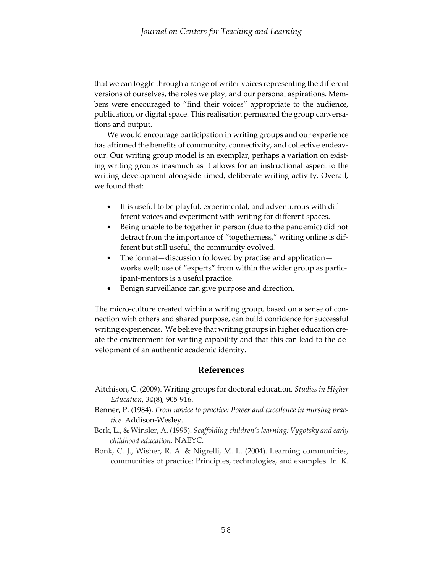that we can toggle through a range of writer voices representing the different versions of ourselves, the roles we play, and our personal aspirations. Members were encouraged to "find their voices" appropriate to the audience, publication, or digital space. This realisation permeated the group conversations and output.

We would encourage participation in writing groups and our experience has affirmed the benefits of community, connectivity, and collective endeavour. Our writing group model is an exemplar, perhaps a variation on existing writing groups inasmuch as it allows for an instructional aspect to the writing development alongside timed, deliberate writing activity. Overall, we found that:

- It is useful to be playful, experimental, and adventurous with different voices and experiment with writing for different spaces.
- Being unable to be together in person (due to the pandemic) did not detract from the importance of "togetherness," writing online is different but still useful, the community evolved.
- The format—discussion followed by practise and application works well; use of "experts" from within the wider group as participant-mentors is a useful practice.
- Benign surveillance can give purpose and direction.

The micro-culture created within a writing group, based on a sense of connection with others and shared purpose, can build confidence for successful writing experiences. We believe that writing groups in higher education create the environment for writing capability and that this can lead to the development of an authentic academic identity.

# **References**

- Aitchison, C. (2009). Writing groups for doctoral education. *Studies in Higher Education, 34*(8)*,* 905-916.
- Benner, P. (1984). *From novice to practice: Power and excellence in nursing practice.* Addison-Wesley.
- Berk, L., & Winsler, A. (1995). *Scaffolding children's learning: Vygotsky and early childhood education*. NAEYC.
- Bonk, C. J., Wisher, R. A. & Nigrelli, M. L. (2004). Learning communities, communities of practice: Principles, technologies, and examples. In K.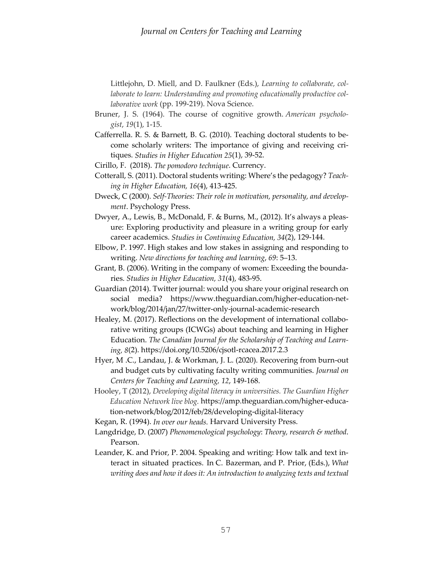Littlejohn, D. Miell, and D. Faulkner (Eds.), *Learning to collaborate, collaborate to learn: Understanding and promoting educationally productive collaborative work* (pp. 199-219). Nova Science.

- Bruner, J. S. (1964). The course of cognitive growth. *American psychologist*, *19*(1), 1-15.
- Cafferrella. R. S. & Barnett, B. G. (2010). Teaching doctoral students to become scholarly writers: The importance of giving and receiving critiques. *Studies in Higher Education 25*(1), 39-52.
- Cirillo, F. (2018). *The pomodoro technique*. Currency.
- Cotterall, S. (2011). Doctoral students writing: Where's the pedagogy? *Teaching in Higher Education, 16*(4), 413-425.
- Dweck, C (2000). *Self-Theories: Their role in motivation, personality, and development*. Psychology Press.
- Dwyer, A., Lewis, B., McDonald, F. & Burns, M., (2012). It's always a pleasure: Exploring productivity and pleasure in a writing group for early career academics. *Studies in Continuing Education, 34*(2), 129-144.
- Elbow, P. 1997. High stakes and low stakes in assigning and responding to writing. *New directions for teaching and learning*, *69*: 5–13.
- Grant, B. (2006). Writing in the company of women: Exceeding the boundaries. *Studies in Higher Education, 31*(4), 483-95.
- Guardian (2014). Twitter journal: would you share your original research on social media? [https://www.theguardian.com/higher-education-net](https://www.theguardian.com/higher-education-network/blog/2014/jan/27/twitter-only-journal-academic-research)[work/blog/2014/jan/27/twitter-only-journal-academic-research](https://www.theguardian.com/higher-education-network/blog/2014/jan/27/twitter-only-journal-academic-research)
- Healey, M. (2017). Reflections on the development of international collaborative writing groups (ICWGs) about teaching and learning in Higher Education. *The Canadian Journal for the Scholarship of Teaching and Learning, 8*(2).<https://doi.org/10.5206/cjsotl-rcacea.2017.2.3>
- Hyer, M .C., Landau, J. & Workman, J. L. (2020). Recovering from burn-out and budget cuts by cultivating faculty writing communities. *Journal on Centers for Teaching and Learning, 12*, 149-168.
- Hooley, T (2012), *Developing digital literacy in universities. The Guardian Higher Education Network live blog.* [https://amp.theguardian.com/higher-educa](https://amp.theguardian.com/higher-education-network/blog/2012/feb/28/developing-digital-literacy)[tion-network/blog/2012/feb/28/developing-digital-literacy](https://amp.theguardian.com/higher-education-network/blog/2012/feb/28/developing-digital-literacy)
- Kegan, R. (1994). *In over our heads.* Harvard University Press.
- Langdridge, D. (2007) *Phenomenological psychology*: *Theory, research & method*. Pearson.
- Leander, K. and Prior, P. 2004. Speaking and writing: How talk and text interact in situated practices. In C. Bazerman, and P. Prior, (Eds.), *What writing does and how it does it: An introduction to analyzing texts and textual*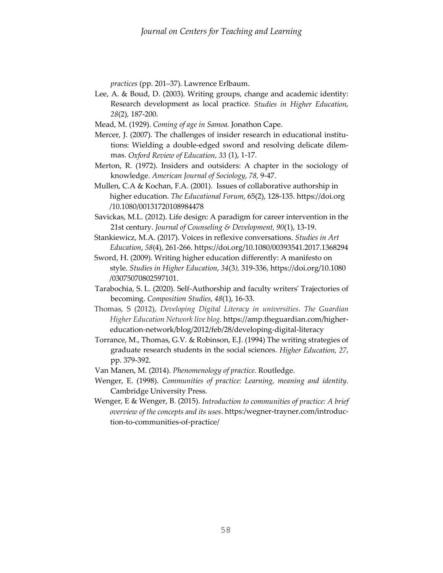*practices* (pp. 201–37). Lawrence Erlbaum.

- Lee, A. & Boud, D. (2003). Writing groups, change and academic identity: Research development as local practice. *Studies in Higher Education*, *28*(2)*,* 187-200.
- Mead, M. (1929). *Coming of age in Samoa.* Jonathon Cape.
- Mercer, J. (2007). The challenges of insider research in educational institutions: Wielding a double-edged sword and resolving delicate dilemmas. *Oxford Review of Education*, *33* (1), 1-17.
- Merton, R. (1972). Insiders and outsiders: A chapter in the sociology of knowledge. *American Journal of Sociology*, *78,* 9-47.
- Mullen, C.A & Kochan, F.A. (2001). Issues of collaborative authorship in higher education. *The Educational Forum*, 65(2), 128-135. https://doi.org  [/10.1080/00131720108984478](https://doi.org/10.1080/00131720108984478)
- Savickas, M.L. (2012). Life design: A paradigm for career intervention in the 21st century. *Journal of Counseling & Development, 90*(1), 13-19.
- Stankiewicz, M.A. (2017). Voices in reflexive conversations. *Studies in Art Education*, *58*(4), 261-266. <https://doi.org/10.1080/00393541.2017.1368294>
- Sword, H. (2009). Writing higher education differently: A manifesto on style. *Studies in Higher Education*, *34*(3*),* 319-336, <https://doi.org/10.1080> /03075070802597101.
- Tarabochia, S. L. (2020). Self-Authorship and faculty writers' Trajectories of becoming. *Composition Studies, 48*(1), 16-33.
- Thomas, S (2012), *Developing Digital Literacy in universities*. *The Guardian Higher Education Network live blog.* [https://amp.theguardian.com/higher](https://amp.theguardian.com/higher-education-network/blog/2012/feb/28/developing-digital-literacy)[education-network/blog/2012/feb/28/developing-digital-literacy](https://amp.theguardian.com/higher-education-network/blog/2012/feb/28/developing-digital-literacy)
- Torrance, M., Thomas, G.V. & Robinson, E.J. (1994) The writing strategies of graduate research students in the social sciences. *Higher Education, 27*, pp. 379-392.
- Van Manen, M. (2014). *Phenomenology of practice.* Routledge.
- Wenger, E. (1998). *Communities of practice: Learning, meaning and identity.*  Cambridge University Press.
- Wenger, E & Wenger, B. (2015). *Introduction to communities of practice: A brief overview of the concepts and its uses*. https:/wegner-trayner.com/introduc tion-to-communities-of-practice/